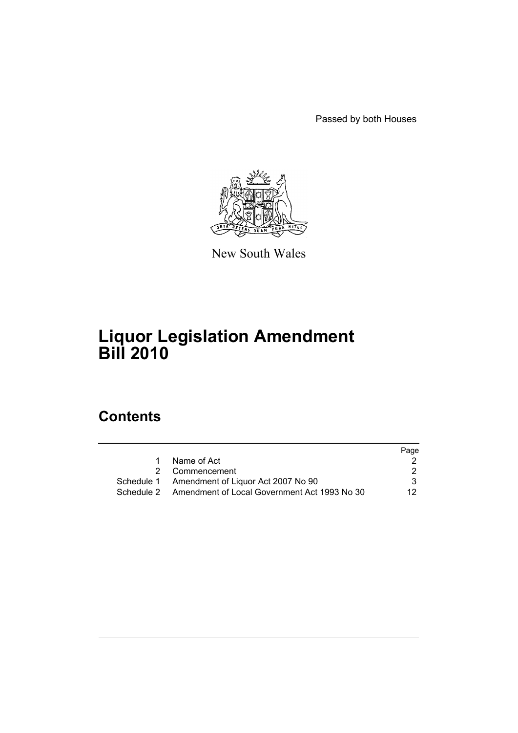Passed by both Houses



New South Wales

# **Liquor Legislation Amendment Bill 2010**

# **Contents**

|   |                                                         | Page |
|---|---------------------------------------------------------|------|
| 1 | Name of Act                                             |      |
|   | 2 Commencement                                          |      |
|   | Schedule 1 Amendment of Liquor Act 2007 No 90           | 3.   |
|   | Schedule 2 Amendment of Local Government Act 1993 No 30 | 12.  |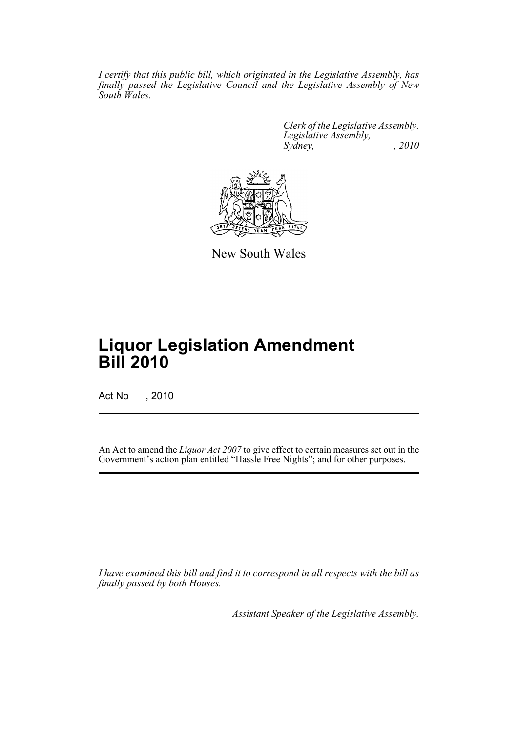*I certify that this public bill, which originated in the Legislative Assembly, has finally passed the Legislative Council and the Legislative Assembly of New South Wales.*

> *Clerk of the Legislative Assembly. Legislative Assembly, Sydney, , 2010*



New South Wales

# **Liquor Legislation Amendment Bill 2010**

Act No , 2010

An Act to amend the *Liquor Act 2007* to give effect to certain measures set out in the Government's action plan entitled "Hassle Free Nights"; and for other purposes.

*I have examined this bill and find it to correspond in all respects with the bill as finally passed by both Houses.*

*Assistant Speaker of the Legislative Assembly.*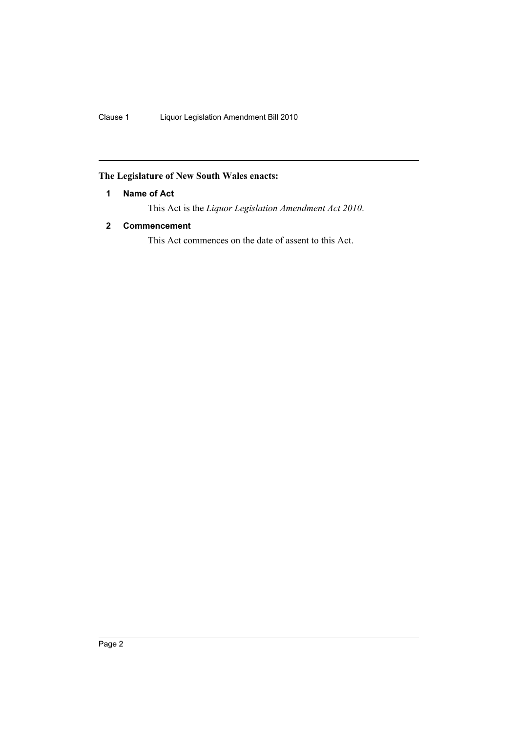# <span id="page-2-0"></span>**The Legislature of New South Wales enacts:**

# **1 Name of Act**

This Act is the *Liquor Legislation Amendment Act 2010*.

# <span id="page-2-1"></span>**2 Commencement**

This Act commences on the date of assent to this Act.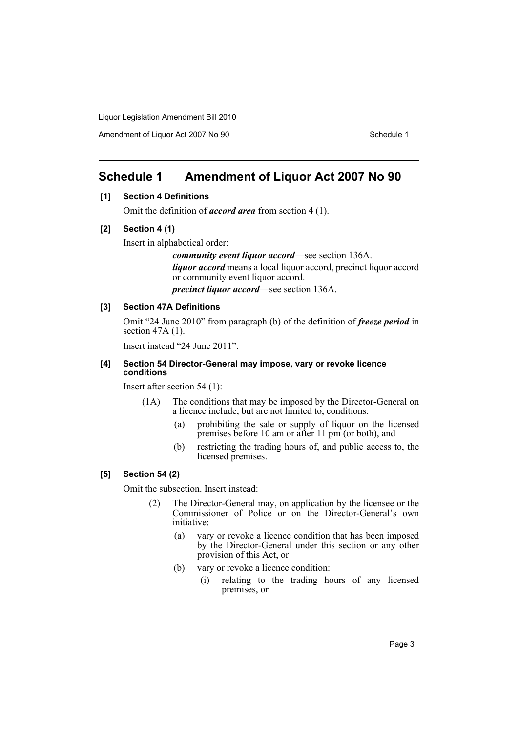Amendment of Liquor Act 2007 No 90 Schedule 1

# <span id="page-3-0"></span>**Schedule 1 Amendment of Liquor Act 2007 No 90**

# **[1] Section 4 Definitions**

Omit the definition of *accord area* from section 4 (1).

# **[2] Section 4 (1)**

Insert in alphabetical order:

*community event liquor accord*—see section 136A.

*liquor accord* means a local liquor accord, precinct liquor accord or community event liquor accord.

*precinct liquor accord*—see section 136A.

# **[3] Section 47A Definitions**

Omit "24 June 2010" from paragraph (b) of the definition of *freeze period* in section  $47A(1)$ .

Insert instead "24 June 2011".

## **[4] Section 54 Director-General may impose, vary or revoke licence conditions**

Insert after section 54 (1):

- (1A) The conditions that may be imposed by the Director-General on a licence include, but are not limited to, conditions:
	- (a) prohibiting the sale or supply of liquor on the licensed premises before 10 am or after 11 pm (or both), and
	- (b) restricting the trading hours of, and public access to, the licensed premises.

# **[5] Section 54 (2)**

Omit the subsection. Insert instead:

- (2) The Director-General may, on application by the licensee or the Commissioner of Police or on the Director-General's own initiative:
	- (a) vary or revoke a licence condition that has been imposed by the Director-General under this section or any other provision of this Act, or
	- (b) vary or revoke a licence condition:
		- (i) relating to the trading hours of any licensed premises, or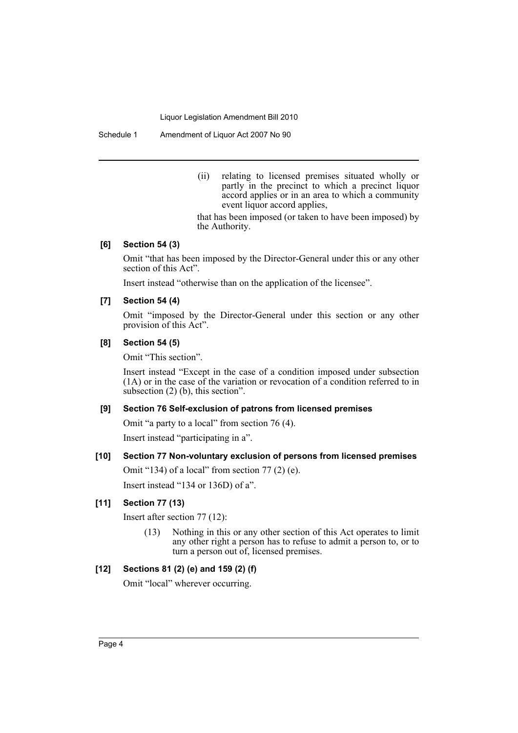Schedule 1 Amendment of Liquor Act 2007 No 90

(ii) relating to licensed premises situated wholly or partly in the precinct to which a precinct liquor accord applies or in an area to which a community event liquor accord applies,

that has been imposed (or taken to have been imposed) by the Authority.

# **[6] Section 54 (3)**

Omit "that has been imposed by the Director-General under this or any other section of this Act".

Insert instead "otherwise than on the application of the licensee".

# **[7] Section 54 (4)**

Omit "imposed by the Director-General under this section or any other provision of this Act".

# **[8] Section 54 (5)**

Omit "This section".

Insert instead "Except in the case of a condition imposed under subsection (1A) or in the case of the variation or revocation of a condition referred to in subsection (2) (b), this section".

# **[9] Section 76 Self-exclusion of patrons from licensed premises**

Omit "a party to a local" from section 76 (4).

Insert instead "participating in a".

# **[10] Section 77 Non-voluntary exclusion of persons from licensed premises**

Omit "134) of a local" from section 77 (2) (e).

Insert instead "134 or 136D) of a".

# **[11] Section 77 (13)**

Insert after section 77 (12):

(13) Nothing in this or any other section of this Act operates to limit any other right a person has to refuse to admit a person to, or to turn a person out of, licensed premises.

#### **[12] Sections 81 (2) (e) and 159 (2) (f)**

Omit "local" wherever occurring.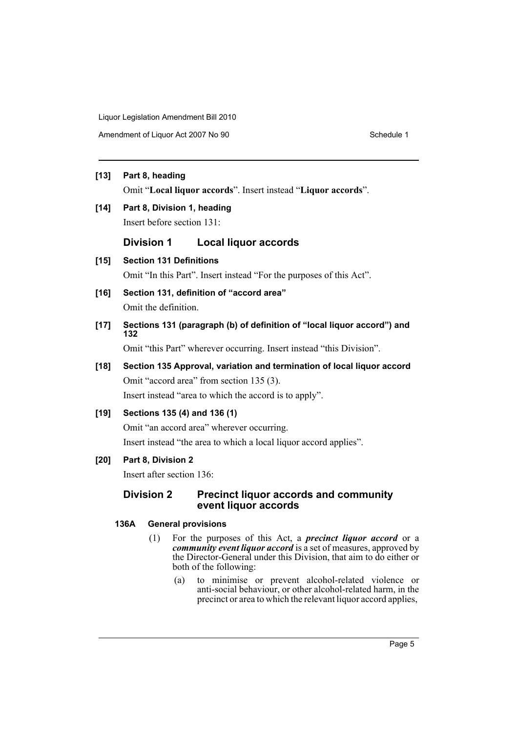Amendment of Liquor Act 2007 No 90 Schedule 1

# **[13] Part 8, heading**

Omit "**Local liquor accords**". Insert instead "**Liquor accords**".

# **[14] Part 8, Division 1, heading**

Insert before section 131:

# **Division 1 Local liquor accords**

**[15] Section 131 Definitions**

Omit "In this Part". Insert instead "For the purposes of this Act".

**[16] Section 131, definition of "accord area"** Omit the definition.

**[17] Sections 131 (paragraph (b) of definition of "local liquor accord") and 132** 

Omit "this Part" wherever occurring. Insert instead "this Division".

# **[18] Section 135 Approval, variation and termination of local liquor accord** Omit "accord area" from section 135 (3).

Insert instead "area to which the accord is to apply".

# **[19] Sections 135 (4) and 136 (1)**

Omit "an accord area" wherever occurring.

Insert instead "the area to which a local liquor accord applies".

# **[20] Part 8, Division 2**

Insert after section 136:

# **Division 2 Precinct liquor accords and community event liquor accords**

# **136A General provisions**

- (1) For the purposes of this Act, a *precinct liquor accord* or a *community event liquor accord* is a set of measures, approved by the Director-General under this Division, that aim to do either or both of the following:
	- (a) to minimise or prevent alcohol-related violence or anti-social behaviour, or other alcohol-related harm, in the precinct or area to which the relevant liquor accord applies,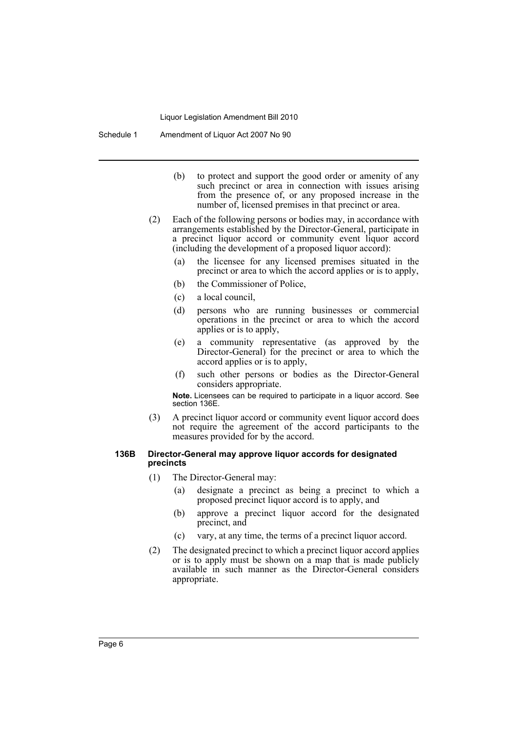- (b) to protect and support the good order or amenity of any such precinct or area in connection with issues arising from the presence of, or any proposed increase in the number of, licensed premises in that precinct or area.
- (2) Each of the following persons or bodies may, in accordance with arrangements established by the Director-General, participate in a precinct liquor accord or community event liquor accord (including the development of a proposed liquor accord):
	- (a) the licensee for any licensed premises situated in the precinct or area to which the accord applies or is to apply,
	- (b) the Commissioner of Police,
	- (c) a local council,
	- (d) persons who are running businesses or commercial operations in the precinct or area to which the accord applies or is to apply,
	- (e) a community representative (as approved by the Director-General) for the precinct or area to which the accord applies or is to apply,
	- (f) such other persons or bodies as the Director-General considers appropriate.

**Note.** Licensees can be required to participate in a liquor accord. See section 136E.

(3) A precinct liquor accord or community event liquor accord does not require the agreement of the accord participants to the measures provided for by the accord.

#### **136B Director-General may approve liquor accords for designated precincts**

- (1) The Director-General may:
	- (a) designate a precinct as being a precinct to which a proposed precinct liquor accord is to apply, and
	- (b) approve a precinct liquor accord for the designated precinct, and
	- (c) vary, at any time, the terms of a precinct liquor accord.
- (2) The designated precinct to which a precinct liquor accord applies or is to apply must be shown on a map that is made publicly available in such manner as the Director-General considers appropriate.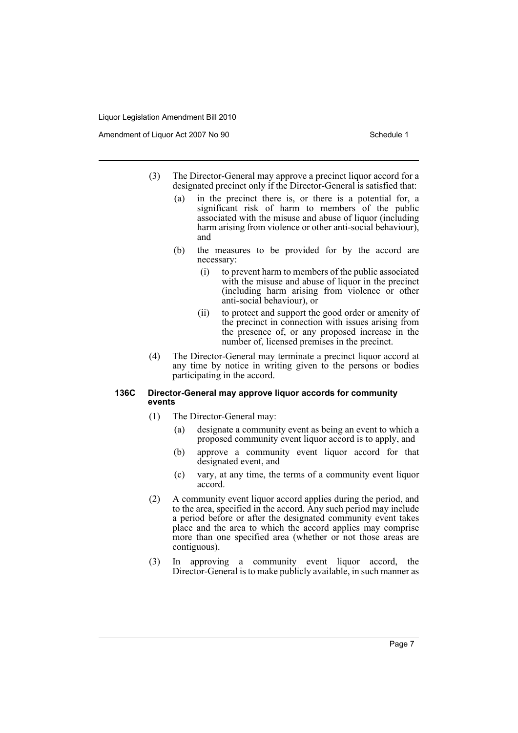Amendment of Liquor Act 2007 No 90 Schedule 1

- (3) The Director-General may approve a precinct liquor accord for a designated precinct only if the Director-General is satisfied that:
	- (a) in the precinct there is, or there is a potential for, a significant risk of harm to members of the public associated with the misuse and abuse of liquor (including harm arising from violence or other anti-social behaviour), and
	- (b) the measures to be provided for by the accord are necessary:
		- (i) to prevent harm to members of the public associated with the misuse and abuse of liquor in the precinct (including harm arising from violence or other anti-social behaviour), or
		- (ii) to protect and support the good order or amenity of the precinct in connection with issues arising from the presence of, or any proposed increase in the number of, licensed premises in the precinct.
- (4) The Director-General may terminate a precinct liquor accord at any time by notice in writing given to the persons or bodies participating in the accord.

#### **136C Director-General may approve liquor accords for community events**

- (1) The Director-General may:
	- (a) designate a community event as being an event to which a proposed community event liquor accord is to apply, and
	- (b) approve a community event liquor accord for that designated event, and
	- (c) vary, at any time, the terms of a community event liquor accord.
- (2) A community event liquor accord applies during the period, and to the area, specified in the accord. Any such period may include a period before or after the designated community event takes place and the area to which the accord applies may comprise more than one specified area (whether or not those areas are contiguous).
- (3) In approving a community event liquor accord, the Director-General is to make publicly available, in such manner as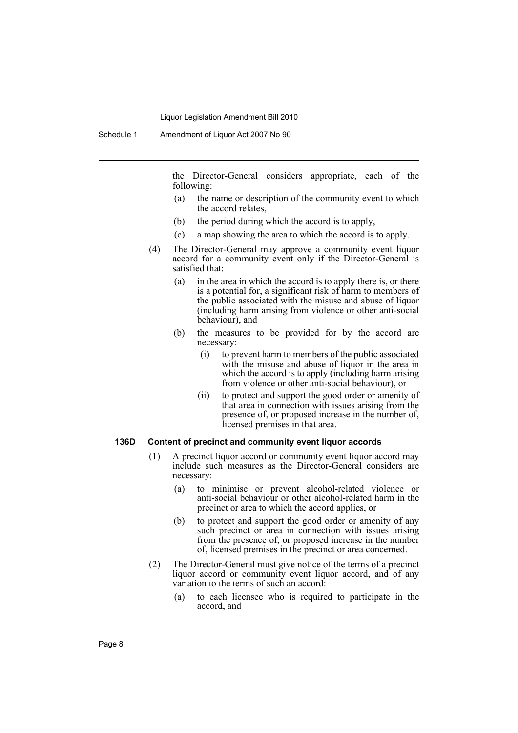the Director-General considers appropriate, each of the following:

- (a) the name or description of the community event to which the accord relates,
- (b) the period during which the accord is to apply,
- (c) a map showing the area to which the accord is to apply.
- (4) The Director-General may approve a community event liquor accord for a community event only if the Director-General is satisfied that:
	- (a) in the area in which the accord is to apply there is, or there is a potential for, a significant risk of harm to members of the public associated with the misuse and abuse of liquor (including harm arising from violence or other anti-social behaviour), and
	- (b) the measures to be provided for by the accord are necessary:
		- (i) to prevent harm to members of the public associated with the misuse and abuse of liquor in the area in which the accord is to apply (including harm arising from violence or other anti-social behaviour), or
		- (ii) to protect and support the good order or amenity of that area in connection with issues arising from the presence of, or proposed increase in the number of, licensed premises in that area.

#### **136D Content of precinct and community event liquor accords**

- (1) A precinct liquor accord or community event liquor accord may include such measures as the Director-General considers are necessary:
	- (a) to minimise or prevent alcohol-related violence or anti-social behaviour or other alcohol-related harm in the precinct or area to which the accord applies, or
	- (b) to protect and support the good order or amenity of any such precinct or area in connection with issues arising from the presence of, or proposed increase in the number of, licensed premises in the precinct or area concerned.
- (2) The Director-General must give notice of the terms of a precinct liquor accord or community event liquor accord, and of any variation to the terms of such an accord:
	- (a) to each licensee who is required to participate in the accord, and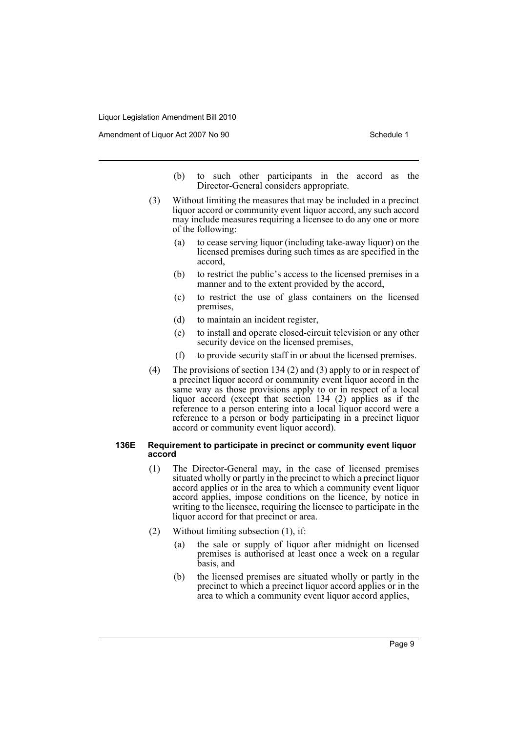Amendment of Liquor Act 2007 No 90 Schedule 1

- (b) to such other participants in the accord as the Director-General considers appropriate.
- (3) Without limiting the measures that may be included in a precinct liquor accord or community event liquor accord, any such accord may include measures requiring a licensee to do any one or more of the following:
	- (a) to cease serving liquor (including take-away liquor) on the licensed premises during such times as are specified in the accord,
	- (b) to restrict the public's access to the licensed premises in a manner and to the extent provided by the accord,
	- (c) to restrict the use of glass containers on the licensed premises,
	- (d) to maintain an incident register,
	- (e) to install and operate closed-circuit television or any other security device on the licensed premises,
	- (f) to provide security staff in or about the licensed premises.
- (4) The provisions of section 134 (2) and (3) apply to or in respect of a precinct liquor accord or community event liquor accord in the same way as those provisions apply to or in respect of a local liquor accord (except that section 134 (2) applies as if the reference to a person entering into a local liquor accord were a reference to a person or body participating in a precinct liquor accord or community event liquor accord).

#### **136E Requirement to participate in precinct or community event liquor accord**

- (1) The Director-General may, in the case of licensed premises situated wholly or partly in the precinct to which a precinct liquor accord applies or in the area to which a community event liquor accord applies, impose conditions on the licence, by notice in writing to the licensee, requiring the licensee to participate in the liquor accord for that precinct or area.
- (2) Without limiting subsection (1), if:
	- (a) the sale or supply of liquor after midnight on licensed premises is authorised at least once a week on a regular basis, and
	- (b) the licensed premises are situated wholly or partly in the precinct to which a precinct liquor accord applies or in the area to which a community event liquor accord applies,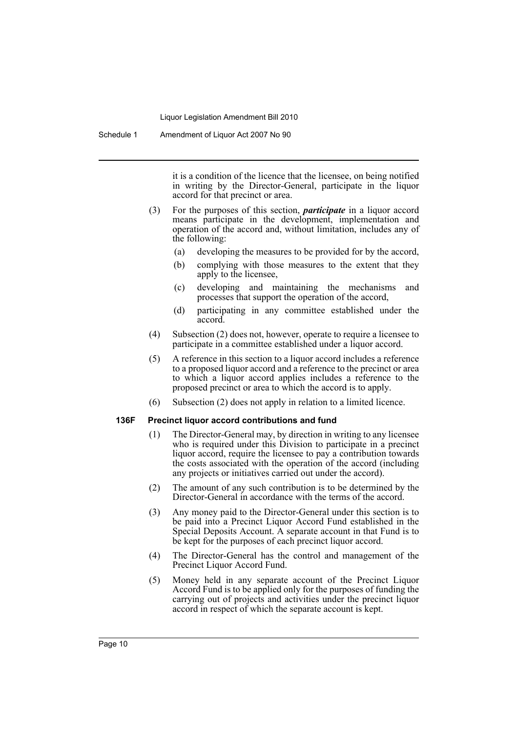it is a condition of the licence that the licensee, on being notified in writing by the Director-General, participate in the liquor accord for that precinct or area.

- (3) For the purposes of this section, *participate* in a liquor accord means participate in the development, implementation and operation of the accord and, without limitation, includes any of the following:
	- (a) developing the measures to be provided for by the accord,
	- (b) complying with those measures to the extent that they apply to the licensee,
	- (c) developing and maintaining the mechanisms and processes that support the operation of the accord,
	- (d) participating in any committee established under the accord.
- (4) Subsection (2) does not, however, operate to require a licensee to participate in a committee established under a liquor accord.
- (5) A reference in this section to a liquor accord includes a reference to a proposed liquor accord and a reference to the precinct or area to which a liquor accord applies includes a reference to the proposed precinct or area to which the accord is to apply.
- (6) Subsection (2) does not apply in relation to a limited licence.

#### **136F Precinct liquor accord contributions and fund**

- (1) The Director-General may, by direction in writing to any licensee who is required under this Division to participate in a precinct liquor accord, require the licensee to pay a contribution towards the costs associated with the operation of the accord (including any projects or initiatives carried out under the accord).
- (2) The amount of any such contribution is to be determined by the Director-General in accordance with the terms of the accord.
- (3) Any money paid to the Director-General under this section is to be paid into a Precinct Liquor Accord Fund established in the Special Deposits Account. A separate account in that Fund is to be kept for the purposes of each precinct liquor accord.
- (4) The Director-General has the control and management of the Precinct Liquor Accord Fund.
- (5) Money held in any separate account of the Precinct Liquor Accord Fund is to be applied only for the purposes of funding the carrying out of projects and activities under the precinct liquor accord in respect of which the separate account is kept.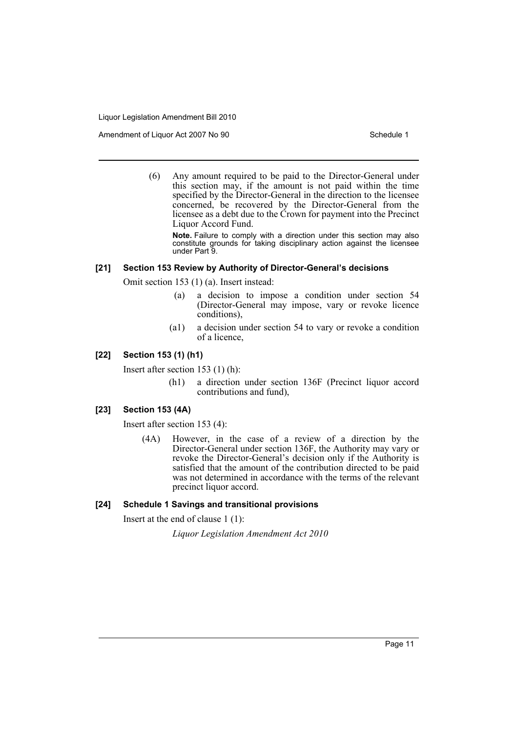Amendment of Liquor Act 2007 No 90 Schedule 1

(6) Any amount required to be paid to the Director-General under this section may, if the amount is not paid within the time specified by the Director-General in the direction to the licensee concerned, be recovered by the Director-General from the licensee as a debt due to the Crown for payment into the Precinct Liquor Accord Fund.

**Note.** Failure to comply with a direction under this section may also constitute grounds for taking disciplinary action against the licensee under Part 9.

# **[21] Section 153 Review by Authority of Director-General's decisions**

Omit section 153 (1) (a). Insert instead:

- (a) a decision to impose a condition under section 54 (Director-General may impose, vary or revoke licence conditions),
- (a1) a decision under section 54 to vary or revoke a condition of a licence,

# **[22] Section 153 (1) (h1)**

Insert after section 153 (1) (h):

(h1) a direction under section 136F (Precinct liquor accord contributions and fund),

# **[23] Section 153 (4A)**

Insert after section 153 (4):

(4A) However, in the case of a review of a direction by the Director-General under section 136F, the Authority may vary or revoke the Director-General's decision only if the Authority is satisfied that the amount of the contribution directed to be paid was not determined in accordance with the terms of the relevant precinct liquor accord.

# **[24] Schedule 1 Savings and transitional provisions**

Insert at the end of clause 1 (1):

*Liquor Legislation Amendment Act 2010*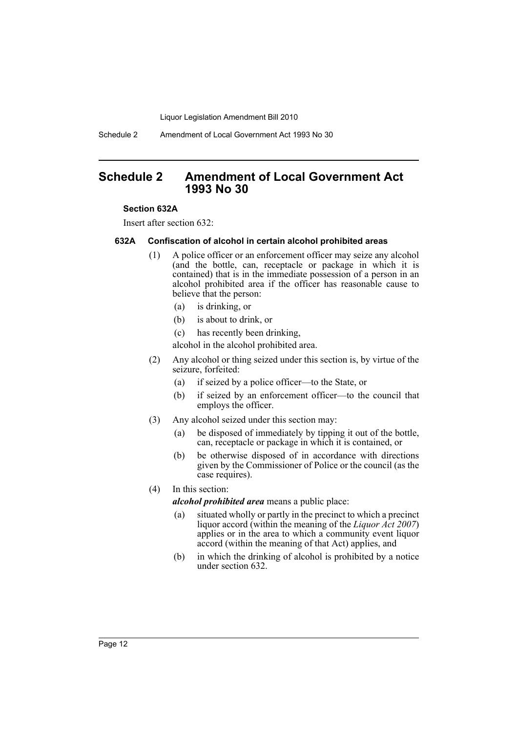Schedule 2 Amendment of Local Government Act 1993 No 30

# <span id="page-12-0"></span>**Schedule 2 Amendment of Local Government Act 1993 No 30**

#### **Section 632A**

Insert after section 632:

# **632A Confiscation of alcohol in certain alcohol prohibited areas**

- (1) A police officer or an enforcement officer may seize any alcohol (and the bottle, can, receptacle or package in which it is contained) that is in the immediate possession of a person in an alcohol prohibited area if the officer has reasonable cause to believe that the person:
	- (a) is drinking, or
	- (b) is about to drink, or
	- (c) has recently been drinking,

alcohol in the alcohol prohibited area.

- (2) Any alcohol or thing seized under this section is, by virtue of the seizure, forfeited:
	- (a) if seized by a police officer—to the State, or
	- (b) if seized by an enforcement officer—to the council that employs the officer.
- (3) Any alcohol seized under this section may:
	- (a) be disposed of immediately by tipping it out of the bottle, can, receptacle or package in which it is contained, or
	- (b) be otherwise disposed of in accordance with directions given by the Commissioner of Police or the council (as the case requires).

# (4) In this section:

*alcohol prohibited area* means a public place:

- (a) situated wholly or partly in the precinct to which a precinct liquor accord (within the meaning of the *Liquor Act 2007*) applies or in the area to which a community event liquor accord (within the meaning of that Act) applies, and
- (b) in which the drinking of alcohol is prohibited by a notice under section 632.